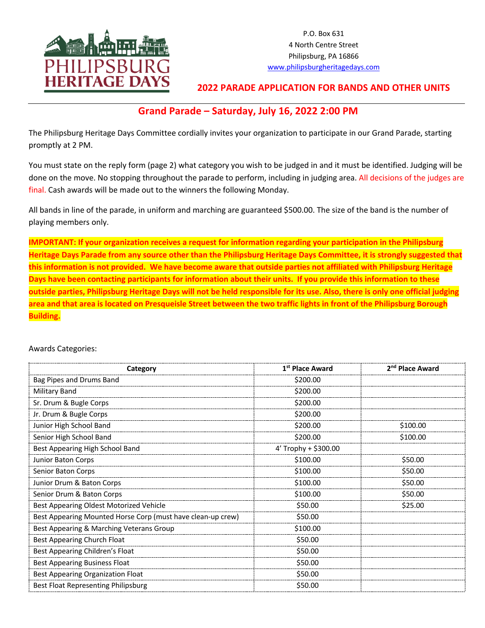

P.O. Box 631 4 North Centre Street Philipsburg, PA 16866 www.philipsburgheritagedays.com

## **2022 PARADE APPLICATION FOR BANDS AND OTHER UNITS**

# **Grand Parade – Saturday, July 16, 2022 2:00 PM**

The Philipsburg Heritage Days Committee cordially invites your organization to participate in our Grand Parade, starting promptly at 2 PM.

You must state on the reply form (page 2) what category you wish to be judged in and it must be identified. Judging will be done on the move. No stopping throughout the parade to perform, including in judging area. All decisions of the judges are final. Cash awards will be made out to the winners the following Monday.

All bands in line of the parade, in uniform and marching are guaranteed \$500.00. The size of the band is the number of playing members only.

**IMPORTANT: If your organization receives a request for information regarding your participation in the Philipsburg Heritage Days Parade from any source other than the Philipsburg Heritage Days Committee, it is strongly suggested that this information is not provided. We have become aware that outside parties not affiliated with Philipsburg Heritage Days have been contacting participants for information about their units. If you provide this information to these outside parties, Philipsburg Heritage Days will not be held responsible for its use. Also, there is only one official judging area and that area is located on Presqueisle Street between the two traffic lights in front of the Philipsburg Borough Building.**

## **Category 1st 1st Place Award 2<sup>nd</sup> Place Award** Bag Pipes and Drums Band  $\sim$  \$200.00 Military Band \$200.00 Sr. Drum & Bugle Corps  $\vert$  \$200.00 Jr. Drum & Bugle Corps \$200.00 Junior High School Band \$200.00 \$100.00 Senior High School Band \$100.00 \$100.00 \$100.00 Best Appearing High School Band 4' Trophy + \$300.00 Junior Baton Corps \$100.00 \$50.00 \$50.00 Senior Baton Corps \$100.00 \$50.00 Junior Drum & Baton Corps  $\parallel$  \$100.00  $\parallel$  \$50.00 Senior Drum & Baton Corps  $\vert$  \$100.00  $\vert$  \$50.00 Best Appearing Oldest Motorized Vehicle **1998 1998 \$25.00** \$25.00 \$25.00 Best Appearing Mounted Horse Corp (must have clean-up crew) | \$50.00 Best Appearing & Marching Veterans Group **\$100.00** \$100.00 Best Appearing Church Float  $\sim$  850.00 Best Appearing Children's Float \$50.00 Best Appearing Business Float  $\vert$  \$50.00 Best Appearing Organization Float \$50.00 Best Float Representing Philipsburg **\$50.00 \$50.00**

#### Awards Categories: